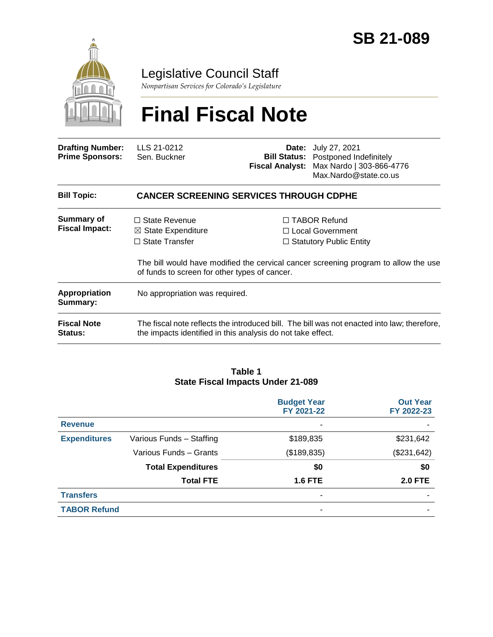

# Legislative Council Staff

*Nonpartisan Services for Colorado's Legislature*

# **Final Fiscal Note**

| <b>Drafting Number:</b><br><b>Prime Sponsors:</b> | LLS 21-0212<br>Sen. Buckner |                                                | <b>Date:</b> July 27, 2021<br><b>Bill Status:</b> Postponed Indefinitely<br>Fiscal Analyst: Max Nardo   303-866-4776<br>Max.Nardo@state.co.us |  |  |
|---------------------------------------------------|-----------------------------|------------------------------------------------|-----------------------------------------------------------------------------------------------------------------------------------------------|--|--|
| <b>Bill Topic:</b>                                |                             | <b>CANCER SCREENING SERVICES THROUGH CDPHE</b> |                                                                                                                                               |  |  |
| <b>Summary of</b>                                 | $\Box$ State Revenue        |                                                | $\Box$ TABOR Refund                                                                                                                           |  |  |

| <b>Fiscal Impact:</b>         | $\boxtimes$ State Expenditure<br>$\Box$ State Transfer                                                                               | □ Local Government<br>$\Box$ Statutory Public Entity                                        |  |
|-------------------------------|--------------------------------------------------------------------------------------------------------------------------------------|---------------------------------------------------------------------------------------------|--|
|                               | The bill would have modified the cervical cancer screening program to allow the use<br>of funds to screen for other types of cancer. |                                                                                             |  |
| Appropriation<br>Summary:     | No appropriation was required.                                                                                                       |                                                                                             |  |
| <b>Fiscal Note</b><br>Status: | the impacts identified in this analysis do not take effect.                                                                          | The fiscal note reflects the introduced bill. The bill was not enacted into law; therefore, |  |

#### **Table 1 State Fiscal Impacts Under 21-089**

|                     |                           | <b>Budget Year</b><br>FY 2021-22 | <b>Out Year</b><br>FY 2022-23 |
|---------------------|---------------------------|----------------------------------|-------------------------------|
| <b>Revenue</b>      |                           |                                  |                               |
| <b>Expenditures</b> | Various Funds - Staffing  | \$189,835<br>\$231,642           |                               |
|                     | Various Funds - Grants    | (\$189, 835)                     | (\$231,642)                   |
|                     | <b>Total Expenditures</b> | \$0                              | \$0                           |
|                     | <b>Total FTE</b>          | <b>1.6 FTE</b>                   | <b>2.0 FTE</b>                |
| <b>Transfers</b>    |                           | ۰                                |                               |
| <b>TABOR Refund</b> |                           |                                  |                               |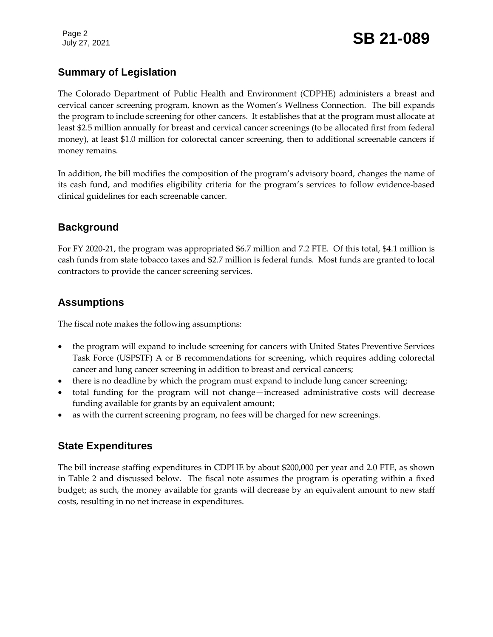Page 2

## **Summary of Legislation**

The Colorado Department of Public Health and Environment (CDPHE) administers a breast and cervical cancer screening program, known as the Women's Wellness Connection. The bill expands the program to include screening for other cancers. It establishes that at the program must allocate at least \$2.5 million annually for breast and cervical cancer screenings (to be allocated first from federal money), at least \$1.0 million for colorectal cancer screening, then to additional screenable cancers if money remains.

In addition, the bill modifies the composition of the program's advisory board, changes the name of its cash fund, and modifies eligibility criteria for the program's services to follow evidence-based clinical guidelines for each screenable cancer.

### **Background**

For FY 2020-21, the program was appropriated \$6.7 million and 7.2 FTE. Of this total, \$4.1 million is cash funds from state tobacco taxes and \$2.7 million is federal funds. Most funds are granted to local contractors to provide the cancer screening services.

### **Assumptions**

The fiscal note makes the following assumptions:

- the program will expand to include screening for cancers with United States Preventive Services Task Force (USPSTF) A or B recommendations for screening, which requires adding colorectal cancer and lung cancer screening in addition to breast and cervical cancers;
- there is no deadline by which the program must expand to include lung cancer screening;
- total funding for the program will not change—increased administrative costs will decrease funding available for grants by an equivalent amount;
- as with the current screening program, no fees will be charged for new screenings.

### **State Expenditures**

The bill increase staffing expenditures in CDPHE by about \$200,000 per year and 2.0 FTE, as shown in Table 2 and discussed below. The fiscal note assumes the program is operating within a fixed budget; as such, the money available for grants will decrease by an equivalent amount to new staff costs, resulting in no net increase in expenditures.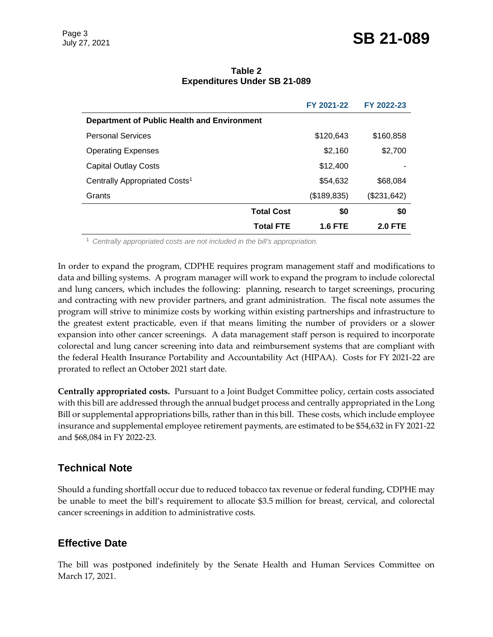|                                             |                   | FY 2021-22     | FY 2022-23     |  |
|---------------------------------------------|-------------------|----------------|----------------|--|
| Department of Public Health and Environment |                   |                |                |  |
| <b>Personal Services</b>                    |                   | \$120,643      | \$160,858      |  |
| <b>Operating Expenses</b>                   |                   | \$2,160        | \$2,700        |  |
| <b>Capital Outlay Costs</b>                 |                   | \$12,400       |                |  |
| Centrally Appropriated Costs <sup>1</sup>   |                   | \$54,632       | \$68,084       |  |
| Grants                                      |                   | (\$189,835)    | (\$231,642)    |  |
|                                             | <b>Total Cost</b> | \$0            | \$0            |  |
|                                             | <b>Total FTE</b>  | <b>1.6 FTE</b> | <b>2.0 FTE</b> |  |

#### **Table 2 Expenditures Under SB 21-089**

<sup>1</sup> *Centrally appropriated costs are not included in the bill's appropriation.*

In order to expand the program, CDPHE requires program management staff and modifications to data and billing systems. A program manager will work to expand the program to include colorectal and lung cancers, which includes the following: planning, research to target screenings, procuring and contracting with new provider partners, and grant administration. The fiscal note assumes the program will strive to minimize costs by working within existing partnerships and infrastructure to the greatest extent practicable, even if that means limiting the number of providers or a slower expansion into other cancer screenings. A data management staff person is required to incorporate colorectal and lung cancer screening into data and reimbursement systems that are compliant with the federal Health Insurance Portability and Accountability Act (HIPAA). Costs for FY 2021-22 are prorated to reflect an October 2021 start date.

**Centrally appropriated costs.** Pursuant to a Joint Budget Committee policy, certain costs associated with this bill are addressed through the annual budget process and centrally appropriated in the Long Bill or supplemental appropriations bills, rather than in this bill. These costs, which include employee insurance and supplemental employee retirement payments, are estimated to be \$54,632 in FY 2021-22 and \$68,084 in FY 2022-23.

#### **Technical Note**

Should a funding shortfall occur due to reduced tobacco tax revenue or federal funding, CDPHE may be unable to meet the bill's requirement to allocate \$3.5 million for breast, cervical, and colorectal cancer screenings in addition to administrative costs.

#### **Effective Date**

The bill was postponed indefinitely by the Senate Health and Human Services Committee on March 17, 2021.